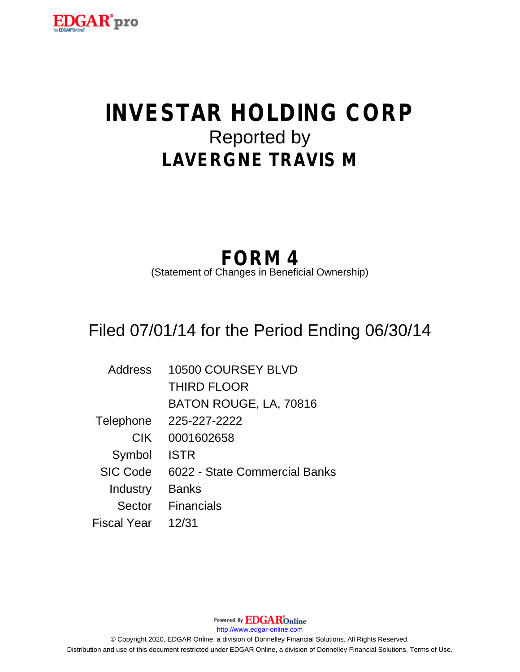

# **INVESTAR HOLDING CORP** Reported by **LAVERGNE TRAVIS M**

## **FORM 4**

(Statement of Changes in Beneficial Ownership)

## Filed 07/01/14 for the Period Ending 06/30/14

| <b>Address</b>  | 10500 COURSEY BLVD            |
|-----------------|-------------------------------|
|                 | <b>THIRD FLOOR</b>            |
|                 | BATON ROUGE, LA, 70816        |
| Telephone       | 225-227-2222                  |
| <b>CIK</b>      | 0001602658                    |
| Symbol          | <b>ISTR</b>                   |
| <b>SIC Code</b> | 6022 - State Commercial Banks |
| Industry        | <b>Banks</b>                  |
| Sector          | <b>Financials</b>             |
| Fiscal Year     | 12/31                         |

Powered By **EDGAR**Online http://www.edgar-online.com © Copyright 2020, EDGAR Online, a division of Donnelley Financial Solutions. All Rights Reserved. Distribution and use of this document restricted under EDGAR Online, a division of Donnelley Financial Solutions, Terms of Use.